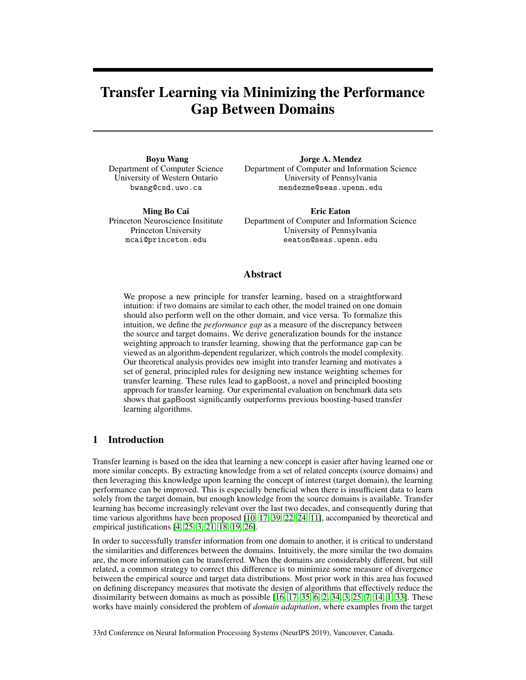# Transfer Learning via Minimizing the Performance Gap Between Domains

Boyu Wang Department of Computer Science University of Western Ontario bwang@csd.uwo.ca

Department of Computer and Information Science University of Pennsylvania mendezme@seas.upenn.edu

Jorge A. Mendez

Ming Bo Cai Princeton Neuroscience Insititute Princeton University mcai@princeton.edu

Eric Eaton Department of Computer and Information Science University of Pennsylvania eeaton@seas.upenn.edu

# Abstract

We propose a new principle for transfer learning, based on a straightforward intuition: if two domains are similar to each other, the model trained on one domain should also perform well on the other domain, and vice versa. To formalize this intuition, we define the *performance gap* as a measure of the discrepancy between the source and target domains. We derive generalization bounds for the instance weighting approach to transfer learning, showing that the performance gap can be viewed as an algorithm-dependent regularizer, which controls the model complexity. Our theoretical analysis provides new insight into transfer learning and motivates a set of general, principled rules for designing new instance weighting schemes for transfer learning. These rules lead to gapBoost, a novel and principled boosting approach for transfer learning. Our experimental evaluation on benchmark data sets shows that gapBoost significantly outperforms previous boosting-based transfer learning algorithms.

# 1 Introduction

Transfer learning is based on the idea that learning a new concept is easier after having learned one or more similar concepts. By extracting knowledge from a set of related concepts (source domains) and then leveraging this knowledge upon learning the concept of interest (target domain), the learning performance can be improved. This is especially beneficial when there is insufficient data to learn solely from the target domain, but enough knowledge from the source domains is available. Transfer learning has become increasingly relevant over the last two decades, and consequently during that time various algorithms have been proposed [10, 17, 39, 22, 24, 11], accompanied by theoretical and empirical justifications [4, 25, 3, 21, 18, 19, 26].

In order to successfully transfer information from one domain to another, it is critical to understand the similarities and differences between the domains. Intuitively, the more similar the two domains are, the more information can be transferred. When the domains are considerably different, but still related, a common strategy to correct this difference is to minimize some measure of divergence between the empirical source and target data distributions. Most prior work in this area has focused on defining discrepancy measures that motivate the design of algorithms that effectively reduce the dissimilarity between domains as much as possible  $[16, 17, 35, 6, 2, 34, 3, 25, 7, 14, 1, 33]$ . These works have mainly considered the problem of *domain adaptation*, where examples from the target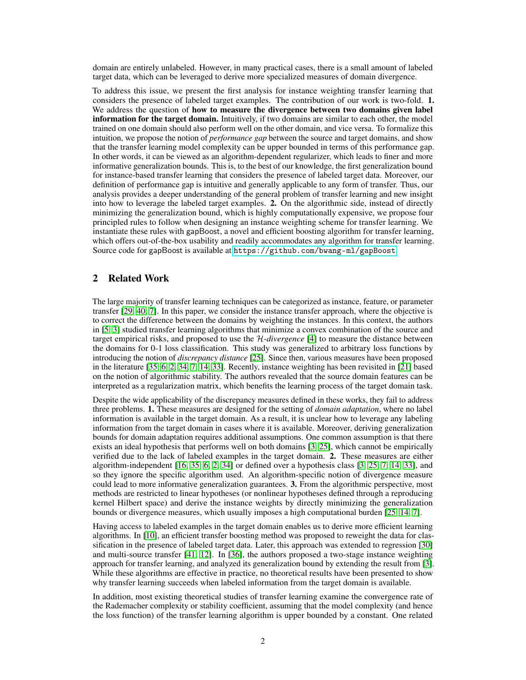domain are entirely unlabeled. However, in many practical cases, there is a small amount of labeled target data, which can be leveraged to derive more specialized measures of domain divergence.

To address this issue, we present the first analysis for instance weighting transfer learning that considers the presence of labeled target examples. The contribution of our work is two-fold. 1. We address the question of how to measure the divergence between two domains given label information for the target domain. Intuitively, if two domains are similar to each other, the model trained on one domain should also perform well on the other domain, and vice versa. To formalize this intuition, we propose the notion of *performance gap* between the source and target domains, and show that the transfer learning model complexity can be upper bounded in terms of this performance gap. In other words, it can be viewed as an algorithm-dependent regularizer, which leads to finer and more informative generalization bounds. This is, to the best of our knowledge, the first generalization bound for instance-based transfer learning that considers the presence of labeled target data. Moreover, our definition of performance gap is intuitive and generally applicable to any form of transfer. Thus, our analysis provides a deeper understanding of the general problem of transfer learning and new insight into how to leverage the labeled target examples. 2. On the algorithmic side, instead of directly minimizing the generalization bound, which is highly computationally expensive, we propose four principled rules to follow when designing an instance weighting scheme for transfer learning. We instantiate these rules with gapBoost, a novel and efficient boosting algorithm for transfer learning, which offers out-of-the-box usability and readily accommodates any algorithm for transfer learning. Source code for gapBoost is available at <https://github.com/bwang-ml/gapBoost>.

# 2 Related Work

The large majority of transfer learning techniques can be categorized as instance, feature, or parameter transfer [29, 40, 7]. In this paper, we consider the instance transfer approach, where the objective is to correct the difference between the domains by weighting the instances. In this context, the authors in [5, 3] studied transfer learning algorithms that minimize a convex combination of the source and target empirical risks, and proposed to use the H*-divergence* [4] to measure the distance between the domains for 0-1 loss classification. This study was generalized to arbitrary loss functions by introducing the notion of *discrepancy distance* [25]. Since then, various measures have been proposed in the literature [35, 6, 2, 34, 7, 14, 33]. Recently, instance weighting has been revisited in [21] based on the notion of algorithmic stability. The authors revealed that the source domain features can be interpreted as a regularization matrix, which benefits the learning process of the target domain task.

Despite the wide applicability of the discrepancy measures defined in these works, they fail to address three problems. 1. These measures are designed for the setting of *domain adaptation*, where no label information is available in the target domain. As a result, it is unclear how to leverage any labeling information from the target domain in cases where it is available. Moreover, deriving generalization bounds for domain adaptation requires additional assumptions. One common assumption is that there exists an ideal hypothesis that performs well on both domains [3, 25], which cannot be empirically verified due to the lack of labeled examples in the target domain. 2. These measures are either algorithm-independent [16, 35, 6, 2, 34] or defined over a hypothesis class [3, 25, 7, 14, 33], and so they ignore the specific algorithm used. An algorithm-specific notion of divergence measure could lead to more informative generalization guarantees. 3. From the algorithmic perspective, most methods are restricted to linear hypotheses (or nonlinear hypotheses defined through a reproducing kernel Hilbert space) and derive the instance weights by directly minimizing the generalization bounds or divergence measures, which usually imposes a high computational burden [25, 14, 7].

Having access to labeled examples in the target domain enables us to derive more efficient learning algorithms. In [10], an efficient transfer boosting method was proposed to reweight the data for classification in the presence of labeled target data. Later, this approach was extended to regression [30] and multi-source transfer [41, 12]. In [36], the authors proposed a two-stage instance weighting approach for transfer learning, and analyzed its generalization bound by extending the result from [3]. While these algorithms are effective in practice, no theoretical results have been presented to show why transfer learning succeeds when labeled information from the target domain is available.

In addition, most existing theoretical studies of transfer learning examine the convergence rate of the Rademacher complexity or stability coefficient, assuming that the model complexity (and hence the loss function) of the transfer learning algorithm is upper bounded by a constant. One related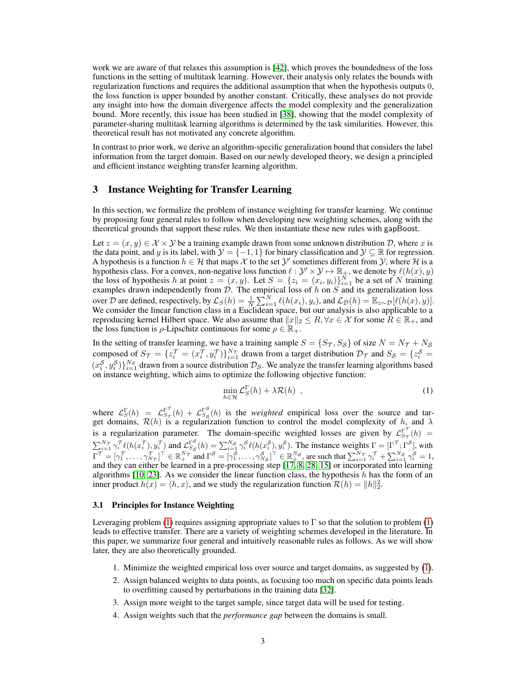work we are aware of that relaxes this assumption is [42], which proves the boundedness of the loss functions in the setting of multitask learning. However, their analysis only relates the bounds with regularization functions and requires the additional assumption that when the hypothesis outputs 0, the loss function is upper bounded by another constant. Critically, these analyses do not provide any insight into how the domain divergence affects the model complexity and the generalization bound. More recently, this issue has been studied in [38], showing that the model complexity of parameter-sharing multitask learning algorithms is determined by the task similarities. However, this theoretical result has not motivated any concrete algorithm.

In contrast to prior work, we derive an algorithm-specific generalization bound that considers the label information from the target domain. Based on our newly developed theory, we design a principled and efficient instance weighting transfer learning algorithm.

## 3 Instance Weighting for Transfer Learning

In this section, we formalize the problem of instance weighting for transfer learning. We continue by proposing four general rules to follow when developing new weighting schemes, along with the theoretical grounds that support these rules. We then instantiate these new rules with gapBoost.

Let  $z = (x, y) \in \mathcal{X} \times \mathcal{Y}$  be a training example drawn from some unknown distribution D, where x is the data point, and y is its label, with  $\mathcal{Y} = \{-1, 1\}$  for binary classification and  $\mathcal{Y} \subseteq \mathbb{R}$  for regression. A hypothesis is a function  $h \in \mathcal{H}$  that maps  $\mathcal X$  to the set  $\mathcal Y'$  sometimes different from  $\mathcal Y$ , where  $\mathcal H$  is a hypothesis class. For a convex, non-negative loss function  $\ell : \mathcal{Y}' \times \mathcal{Y} \mapsto \mathbb{R}_+$ , we denote by  $\ell(h(x), y)$ the loss of hypothesis h at point  $z = (x, y)$ . Let  $S = \{z_i = (x_i, y_i)\}_{i=1}^N$  be a set of N training examples drawn independently from  $\mathcal{D}$ . The empirical loss of h on S and its generalization loss over D are defined, respectively, by  $\mathcal{L}_S(h) = \frac{1}{N} \sum_{i=1}^N \ell(h(x_i), y_i)$ , and  $\mathcal{L}_D(h) = \mathbb{E}_{z \sim \mathcal{D}}[\ell(h(x), y)].$ We consider the linear function class in a Euclidean space, but our analysis is also applicable to a reproducing kernel Hilbert space. We also assume that  $||x||_2 \leq R$ ,  $\forall x \in \mathcal{X}$  for some  $R \in \mathbb{R}_+$ , and the loss function is  $\rho$ -Lipschitz continuous for some  $\rho \in \mathbb{R}_+$ .

In the setting of transfer learning, we have a training sample  $S = \{S_{\mathcal{T}}, S_{\mathcal{S}}\}$  of size  $N = N_{\mathcal{T}} + N_{\mathcal{S}}$ composed of  $S_{\mathcal{T}} = \{z_i^{\mathcal{T}} = (x_i^{\mathcal{T}}, y_i^{\mathcal{T}})\}_{i=1}^{N_{\mathcal{T}}}$  drawn from a target distribution  $\mathcal{D}_{\mathcal{T}}$  and  $S_{\mathcal{S}} = \{z_i^{\mathcal{S}} =$  $(x_i^S, y_i^S)\}_{i=1}^{N_S}$  drawn from a source distribution  $\mathcal{D}_S$ . We analyze the transfer learning algorithms based on instance weighting, which aims to optimize the following objective function:

$$
\min_{h \in \mathcal{H}} \mathcal{L}_S^{\Gamma}(h) + \lambda \mathcal{R}(h) \tag{1}
$$

where  $\mathcal{L}_S^{\Gamma}(h) = \mathcal{L}_{S_{\tau}}^{\Gamma^{\tau}}(h) + \mathcal{L}_{S_{\tau}}^{\Gamma^{S}}(h)$  is the *weighted* empirical loss over the source and target domains,  $\mathcal{R}(h)$  is a regularization function to control the model complexity of h, and  $\lambda$ is a regularization parameter. The domain-specific weighted losses are given by  $\mathcal{L}_{S_{\tau}}^{\Gamma}(h)$  =  $\sum_{i=1}^{N_{\mathcal{T}}} \gamma_i^{\mathcal{T}} \ell(h(x_i^{\mathcal{T}}), y_i^{\mathcal{T}})$  and  $\mathcal{L}_{S_{\mathcal{S}}}^{\Gamma_{\mathcal{S}}^{S}}(h) = \sum_{i=1}^{N_{\mathcal{S}}} \gamma_i^{\mathcal{S}} \ell(h(x_i^{\mathcal{S}}), y_i^{\mathcal{S}})$ . The instance weights  $\Gamma = [\Gamma^{\mathcal{T}}; \Gamma^{\mathcal{S}}]$ , with  $\Gamma^{\mathcal{T}} = [\gamma_1^{\mathcal{T}}, \dots, \gamma_{N_{\mathcal{T}}}^{\mathcal{T}}]^{\top} \in \mathbb{R}_+^{N_{\mathcal{T}}}$  and  $\Gamma^{\mathcal{S}} = [\gamma_1^{\mathcal{S}}, \dots, \gamma_{N_{\mathcal{S}}}^{\mathcal{S}}]^{\top} \in \mathbb{R}_+^{N_{\mathcal{S}}}$ , are such that  $\sum_{i=1}^{N_{\mathcal{T}}} \gamma_i^{\mathcal{T}} + \sum_{i=1}^{N_{\mathcal{S}}} \gamma_i^{\mathcal{S}} = 1$ , and they can either be learned in a pre-processing step [17, 8, 28, 15] or incorporated into learning algorithms [10, 23]. As we consider the linear function class, the hypothesis  $h$  has the form of an inner product  $h(x) = \langle h, x \rangle$ , and we study the regularization function  $\mathcal{R}(h) = ||h||_2^2$ .

#### 3.1 Principles for Instance Weighting

Leveraging problem (1) requires assigning appropriate values to Γ so that the solution to problem (1) leads to effective transfer. There are a variety of weighting schemes developed in the literature. In this paper, we summarize four general and intuitively reasonable rules as follows. As we will show later, they are also theoretically grounded.

- 1. Minimize the weighted empirical loss over source and target domains, as suggested by (1).
- 2. Assign balanced weights to data points, as focusing too much on specific data points leads to overfitting caused by perturbations in the training data [32].
- 3. Assign more weight to the target sample, since target data will be used for testing.
- 4. Assign weights such that the *performance gap* between the domains is small.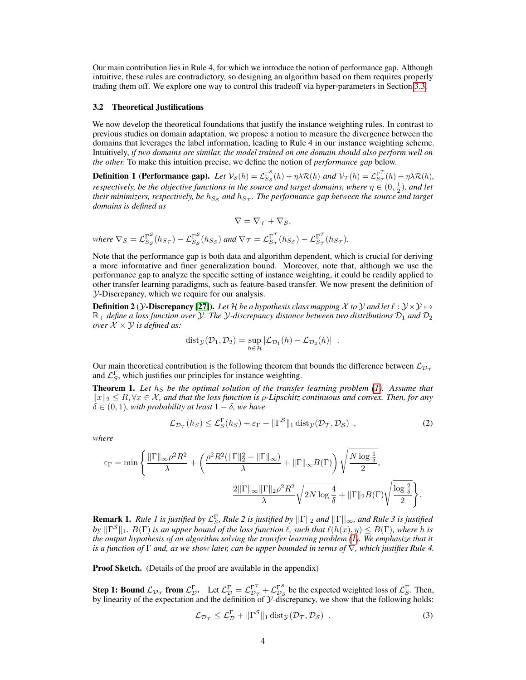Our main contribution lies in Rule 4, for which we introduce the notion of performance gap. Although intuitive, these rules are contradictory, so designing an algorithm based on them requires properly trading them off. We explore one way to control this tradeoff via hyper-parameters in Section 3.3.

#### 3.2 Theoretical Justifications

We now develop the theoretical foundations that justify the instance weighting rules. In contrast to previous studies on domain adaptation, we propose a notion to measure the divergence between the domains that leverages the label information, leading to Rule 4 in our instance weighting scheme. Intuitively, *if two domains are similar, the model trained on one domain should also perform well on the other.* To make this intuition precise, we define the notion of *performance gap* below.

**Definition 1 (Performance gap).** Let  $V_S(h) = \mathcal{L}_{S_S}^{\Gamma^S}(h) + \eta \lambda \mathcal{R}(h)$  and  $V_{\mathcal{T}}(h) = \mathcal{L}_{S_{\mathcal{T}}}^{\Gamma^T}(h) + \eta \lambda \mathcal{R}(h)$ , *respectively, be the objective functions in the source and target domains, where*  $\eta \in (0, \frac{1}{2})$ *, and let* their minimizers, respectively, be  $h_{S_{\cal S}}$  and  $h_{S_{\cal T}}.$  The performance gap between the source and target *domains is defined as*

$$
\nabla = \nabla_{\mathcal{T}} + \nabla_{\mathcal{S}},
$$

where  $\nabla_S = \mathcal{L}_{S_S}^{\Gamma^S}(h_{S_{\tau}}) - \mathcal{L}_{S_S}^{\Gamma^S}(h_{S_S})$  and  $\nabla_{\mathcal{T}} = \mathcal{L}_{S_{\tau}}^{\Gamma^{\mathcal{T}}}(h_{S_S}) - \mathcal{L}_{S_{\tau}}^{\Gamma^{\mathcal{T}}}(h_{S_{\tau}})$ .

Note that the performance gap is both data and algorithm dependent, which is crucial for deriving a more informative and finer generalization bound. Moreover, note that, although we use the performance gap to analyze the specific setting of instance weighting, it could be readily applied to other transfer learning paradigms, such as feature-based transfer. We now present the definition of Y-Discrepancy, which we require for our analysis.

**Definition 2** ( $\mathcal{Y}$ -Discrepancy [27]). Let  $\mathcal{H}$  be a hypothesis class mapping  $\mathcal{X}$  to  $\mathcal{Y}$  and let  $\ell : \mathcal{Y} \times \mathcal{Y} \mapsto$  $\mathbb{R}_+$  *define a loss function over* Y. The Y-discrepancy distance between two distributions  $\mathcal{D}_1$  and  $\mathcal{D}_2$ *over*  $X \times Y$  *is defined as:* 

$$
dist_{\mathcal{Y}}(\mathcal{D}_1, \mathcal{D}_2) = \sup_{h \in \mathcal{H}} |\mathcal{L}_{\mathcal{D}_1}(h) - \mathcal{L}_{\mathcal{D}_2}(h)|.
$$

Our main theoretical contribution is the following theorem that bounds the difference between  $\mathcal{L}_{\mathcal{D}_\mathcal{T}}$ and  $\mathcal{L}_S^{\Gamma}$ , which justifies our principles for instance weighting.

Theorem 1. Let  $h<sub>S</sub>$  be the optimal solution of the transfer learning problem (1). Assume that  $||x||_2 \leq R$ ,  $\forall x \in \mathcal{X}$ *, and that the loss function is*  $\rho$ *-Lipschitz continuous and convex. Then, for any*  $\delta \in (0,1)$ *, with probability at least*  $1 - \delta$ *, we have* 

$$
\mathcal{L}_{\mathcal{D}_{\mathcal{T}}}(h_S) \leq \mathcal{L}_S^{\Gamma}(h_S) + \varepsilon_{\Gamma} + ||\Gamma^{\mathcal{S}}||_1 \operatorname{dist}_{\mathcal{Y}}(\mathcal{D}_{\mathcal{T}}, \mathcal{D}_{\mathcal{S}}) , \qquad (2)
$$

*where*

$$
\varepsilon_{\Gamma} = \min \Bigg\{ \frac{\|\Gamma\|_{\infty} \rho^2 R^2}{\lambda} + \left( \frac{\rho^2 R^2 (\|\Gamma\|_2^2 + \|\Gamma\|_{\infty})}{\lambda} + \|\Gamma\|_{\infty} B(\Gamma) \right) \sqrt{\frac{N \log \frac{1}{\delta}}{2}},
$$

$$
\frac{2\|\Gamma\|_{\infty} \|\Gamma\|_2 \rho^2 R^2}{\lambda} \sqrt{2N \log \frac{4}{\delta}} + \|\Gamma\|_2 B(\Gamma) \sqrt{\frac{\log \frac{2}{\delta}}{2}} \Bigg\}.
$$

**Remark 1.** Rule 1 is justified by  $\mathcal{L}_S^{\Gamma}$ , Rule 2 is justified by  $||\Gamma||_2$  and  $||\Gamma||_{\infty}$ , and Rule 3 is justified  $b$ y  $||\Gamma^{\mathcal{S}}||_1$ .  $B(\Gamma)$  *is an upper bound of the loss function*  $\ell$ *, such that*  $\ell(h(x), y) \leq B(\Gamma)$ *, where h is the output hypothesis of an algorithm solving the transfer learning problem (1). We emphasize that it is a function of* Γ *and, as we show later, can be upper bounded in terms of* ∇*, which justifies Rule 4.*

Proof Sketch. (Details of the proof are available in the appendix)

**Step 1: Bound**  $\mathcal{L}_{\mathcal{D}_{\mathcal{T}}}$  from  $\mathcal{L}_{\mathcal{D}}^{\Gamma}$ . Let  $\mathcal{L}_{\mathcal{D}}^{\Gamma} = \mathcal{L}_{\mathcal{D}_{\mathcal{T}}}^{\Gamma^{\mathcal{T}}} + \mathcal{L}_{\mathcal{D}_{\mathcal{S}}}^{\Gamma^{\mathcal{S}}}$  be the expected weighted loss of  $\mathcal{L}_{\mathcal{S}}^{\Gamma}$ . Then, by linearity of the expectation and the definition of  $\mathcal Y$ -discrepancy, we show that the following holds:

$$
\mathcal{L}_{\mathcal{D}_{\mathcal{T}}} \leq \mathcal{L}_{\mathcal{D}}^{\Gamma} + \|\Gamma^{\mathcal{S}}\|_{1} \operatorname{dist}_{\mathcal{Y}}(\mathcal{D}_{\mathcal{T}}, \mathcal{D}_{\mathcal{S}}) \tag{3}
$$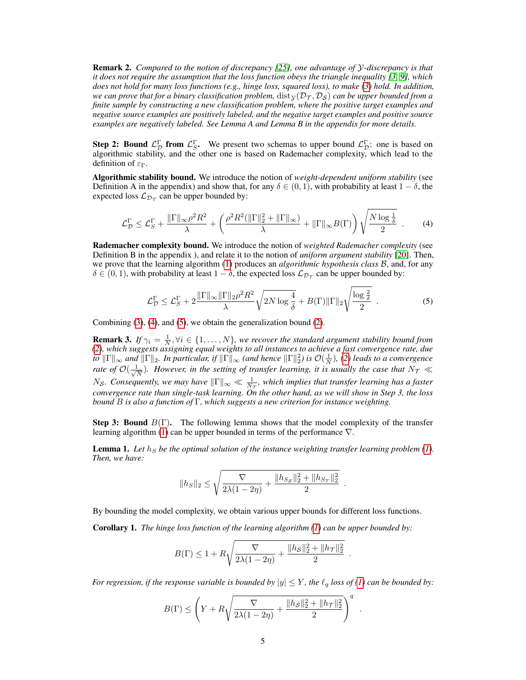Remark 2. *Compared to the notion of discrepancy [25], one advantage of* Y*-discrepancy is that it does not require the assumption that the loss function obeys the triangle inequality [3, 9], which does not hold for many loss functions (e.g., hinge loss, squared loss), to make (3) hold. In addition, we can prove that for a binary classification problem,*  $dist<sub>\mathcal{V}</sub>(\mathcal{D}<sub>\mathcal{T}</sub>, \mathcal{D}<sub>S</sub>)$  *can be upper bounded from a finite sample by constructing a new classification problem, where the positive target examples and negative source examples are positively labeled, and the negative target examples and positive source examples are negatively labeled. See Lemma A and Lemma B in the appendix for more details.*

**Step 2: Bound**  $\mathcal{L}_{\mathcal{D}}^{\Gamma}$  from  $\mathcal{L}_{S}^{\Gamma}$ . We present two schemas to upper bound  $\mathcal{L}_{\mathcal{D}}^{\Gamma}$ : one is based on algorithmic stability, and the other one is based on Rademacher complexity, which lead to the definition of  $\epsilon_{\Gamma}$ .

Algorithmic stability bound. We introduce the notion of *weight-dependent uniform stability* (see Definition A in the appendix) and show that, for any  $\delta \in (0,1)$ , with probability at least  $1 - \delta$ , the expected loss  $\mathcal{L}_{\mathcal{D}_{\mathcal{T}}}$  can be upper bounded by:

$$
\mathcal{L}_D^{\Gamma} \leq \mathcal{L}_S^{\Gamma} + \frac{\|\Gamma\|_{\infty} \rho^2 R^2}{\lambda} + \left(\frac{\rho^2 R^2 (\|\Gamma\|_2^2 + \|\Gamma\|_{\infty})}{\lambda} + \|\Gamma\|_{\infty} B(\Gamma)\right) \sqrt{\frac{N \log \frac{1}{\delta}}{2}} \tag{4}
$$

Rademacher complexity bound. We introduce the notion of *weighted Rademacher complexity* (see Definition B in the appendix ), and relate it to the notion of *uniform argument stability* [20]. Then, we prove that the learning algorithm (1) produces an *algorithmic hypothesis class B*, and, for any  $\delta \in (0,1)$ , with probability at least  $1-\delta$ , the expected loss  $\mathcal{L}_{\mathcal{D}_{\mathcal{T}}}$  can be upper bounded by:

$$
\mathcal{L}_\mathcal{D}^\Gamma \le \mathcal{L}_S^\Gamma + 2 \frac{\|\Gamma\|_\infty \|\Gamma\|_2 \rho^2 R^2}{\lambda} \sqrt{2N \log \frac{4}{\delta}} + B(\Gamma) \|\Gamma\|_2 \sqrt{\frac{\log \frac{2}{\delta}}{2}} \tag{5}
$$

Combining (3), (4), and (5), we obtain the generalization bound (2).

**Remark 3.** If  $\gamma_i = \frac{1}{N}, \forall i \in \{1, ..., N\}$ , we recover the standard argument stability bound from *(2), which suggests assigning equal weights to all instances to achieve a fast convergence rate, due*  $\|f\|_{\infty}$  *and*  $\|\Gamma\|_2$ . In particular, if  $\|\Gamma\|_{\infty}$  (and hence  $\|\Gamma\|_2^2$ ) is  $\mathcal{O}(\frac{1}{N})$ , (2) leads to a convergence *rate of*  $\mathcal{O}(\frac{1}{\sqrt{2}})$  $\frac{1}{N}$ ). However, in the setting of transfer learning, it is usually the case that  $N_{\mathcal{T}} \ll 1$  $N_{\mathcal{S}}$ *. Consequently, we may have*  $\|\Gamma\|_{\infty} \ll \frac{1}{N_{\mathcal{T}}}$ *, which implies that transfer learning has a faster convergence rate than single-task learning. On the other hand, as we will show in Step 3, the loss bound* B *is also a function of* Γ*, which suggests a new criterion for instance weighting.*

**Step 3: Bound**  $B(\Gamma)$ . The following lemma shows that the model complexity of the transfer learning algorithm (1) can be upper bounded in terms of the performance  $\nabla$ .

**Lemma 1.** Let  $h<sub>S</sub>$  be the optimal solution of the instance weighting transfer learning problem (1). *Then, we have:*

$$
||h_S||_2 \le \sqrt{\frac{\nabla}{2\lambda(1-2\eta)} + \frac{||h_{S_S}||_2^2 + ||h_{S_T}||_2^2}{2}}.
$$

By bounding the model complexity, we obtain various upper bounds for different loss functions.

Corollary 1. *The hinge loss function of the learning algorithm (1) can be upper bounded by:*

$$
B(\Gamma) \le 1 + R\sqrt{\frac{\nabla}{2\lambda(1-2\eta)} + \frac{\|h_{\mathcal{S}}\|_2^2 + \|h_{\mathcal{T}}\|_2^2}{2}}
$$

.

.

*For regression, if the response variable is bounded by*  $|y| \leq Y$ *, the*  $\ell_q$  *loss of (1) can be bounded by:* 

$$
B(\Gamma) \le \left(Y + R\sqrt{\frac{\nabla}{2\lambda(1-2\eta)} + \frac{\|h_{\mathcal{S}}\|_2^2 + \|h_{\mathcal{T}}\|_2^2}{2}}\right)^q
$$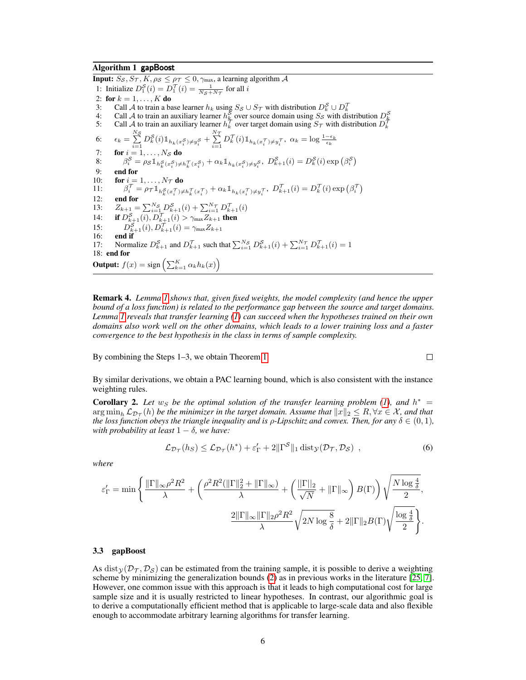#### Algorithm 1 gapBoost

**Input:**  $S_S$ ,  $S_T$ ,  $K$ ,  $\rho_S \leq \rho_T \leq 0$ ,  $\gamma_{\text{max}}$ , a learning algorithm  $\mathcal A$ 1: Initialize  $D_1^S(i) = D_1^T(i) = \frac{1}{N_S + N_T}$  for all i 2: for  $k = 1, ..., K$  do 3: Call A to train a base learner  $h_k$  using  $S_S \cup S_{\mathcal{T}}$  with distribution  $D_k^S \cup D_k^{\mathcal{T}}$ 4: Call A to train an auxiliary learner  $h_k^S$  over source domain using  $S_S$  with distribution  $D_k^S$ <br>5: Call A to train an auxiliary learner  $h_k^{\mathcal{T}}$  over target domain using  $S_{\mathcal{T}}$  with distribution  $D_k^S$ 6:  $\epsilon_k = \sum_{i=1}^{N_S} D_k^S(i) \mathbb{1}_{h_k(x_i^S) \neq y_i^S} + \sum_{i=1}^{N_T} D_k^T(i) \mathbb{1}_{h_k(x_i^T) \neq y_i^T}, \ \alpha_k = \log \frac{1 - \epsilon_k}{\epsilon_k}$ 7: for  $i = 1, \ldots, N_{\mathcal{S}}$  do 8:  $\beta_i^{\mathcal{S}} = \rho_{\mathcal{S}} \mathbb{1}_{h_k^{\mathcal{S}}(x_i^{\mathcal{S}}) \neq h_k^{\mathcal{T}}(x_i^{\mathcal{S}})} + \alpha_k \mathbb{1}_{h_k(x_i^{\mathcal{S}}) \neq y_i^{\mathcal{S}}}, \ D_{k+1}^{\mathcal{S}}(i) = D_k^{\mathcal{S}}(i) \exp(\beta_i^{\mathcal{S}})$ 9: **end for**<br>10: **for**  $i =$ 10: **for**  $i = 1, \ldots, N_{\mathcal{T}}$  do 11:  $\beta_i^{\mathcal{T}} = \rho_{\mathcal{T}} \mathbb{1}_{h_k^{\mathcal{S}}(x_i^{\mathcal{T}}) \neq h_k^{\mathcal{T}}(x_i^{\mathcal{T}})} + \alpha_k \mathbb{1}_{h_k(x_i^{\mathcal{T}}) \neq y_i^{\mathcal{T}}}, \ D_{k+1}^{\mathcal{T}}(i) = D_k^{\mathcal{T}}(i) \exp(\beta_i^{\mathcal{T}})$ 12: end for 13:  $Z_{k+1} = \sum_{i=1}^{N_S} D_{k+1}^S(i) + \sum_{i=1}^{N_T} D_{k+1}^T(i)$ 14: **if**  $D_{k+1}^{\mathcal{S}}(i)$ ,  $D_{k+1}^{\mathcal{T}}(i) > \gamma_{\max} Z_{k+1}$  then 15:  $D_{k+1}^S(i), D_{k+1}^T(i) = \gamma_{\max} Z_{k+1}$ 16: end if 17: Normalize  $D_{k+1}^S$  and  $D_{k+1}^T$  such that  $\sum_{i=1}^{N_S} D_{k+1}^S(i) + \sum_{i=1}^{N_T} D_{k+1}^T(i) = 1$ 18: end for **Output:**  $f(x) = \text{sign}\left(\sum_{k=1}^{K} \alpha_k h_k(x)\right)$ 

Remark 4. *Lemma 1 shows that, given fixed weights, the model complexity (and hence the upper bound of a loss function) is related to the performance gap between the source and target domains. Lemma 1 reveals that transfer learning (1) can succeed when the hypotheses trained on their own domains also work well on the other domains, which leads to a lower training loss and a faster convergence to the best hypothesis in the class in terms of sample complexity.*

By combining the Steps 1–3, we obtain Theorem 1.

$$
\Box
$$

By similar derivations, we obtain a PAC learning bound, which is also consistent with the instance weighting rules.

**Corollary 2.** Let  $w_S$  be the optimal solution of the transfer learning problem (1), and  $h^* =$  $\argmin_h \mathcal{L}_{\mathcal{D}_\mathcal{T}}(h)$  *be the minimizer in the target domain. Assume that*  $\|x\|_2 \leq R, \forall x \in \mathcal{X}$ *, and that the loss function obeys the triangle inequality and is*  $\rho$ *-Lipschitz and convex. Then, for any*  $\delta \in (0,1)$ *, with probability at least*  $1 - \delta$ *, we have:* 

$$
\mathcal{L}_{\mathcal{D}_{\mathcal{T}}}(h_S) \leq \mathcal{L}_{\mathcal{D}_{\mathcal{T}}}(h^*) + \varepsilon_{\Gamma}' + 2\|\Gamma^{\mathcal{S}}\|_1 \operatorname{dist}_{\mathcal{Y}}(\mathcal{D}_{\mathcal{T}}, \mathcal{D}_{\mathcal{S}}) , \qquad (6)
$$

*where*

$$
\varepsilon_{\Gamma}' = \min\Bigg\{\frac{\|\Gamma\|_{\infty}\rho^2R^2}{\lambda} + \bigg(\frac{\rho^2R^2(\|\Gamma\|_2^2 + \|\Gamma\|_{\infty})}{\lambda} + \bigg(\frac{\|\Gamma\|_2}{\sqrt{N}} + \|\Gamma\|_{\infty}\bigg)\,B(\Gamma)\bigg)\sqrt{\frac{N\log\frac{4}{\delta}}{2}}, \nonumber \\ \frac{2\|\Gamma\|_{\infty}\|\Gamma\|_2\rho^2R^2}{\lambda}\sqrt{2N\log\frac{8}{\delta}} + 2\|\Gamma\|_2B(\Gamma)\sqrt{\frac{\log\frac{4}{\delta}}{2}}\Bigg\}.
$$

#### 3.3 gapBoost

As dist $\chi(\mathcal{D}_{\tau}, \mathcal{D}_{\mathcal{S}})$  can be estimated from the training sample, it is possible to derive a weighting scheme by minimizing the generalization bounds (2) as in previous works in the literature [25, 7]. However, one common issue with this approach is that it leads to high computational cost for large sample size and it is usually restricted to linear hypotheses. In contrast, our algorithmic goal is to derive a computationally efficient method that is applicable to large-scale data and also flexible enough to accommodate arbitrary learning algorithms for transfer learning.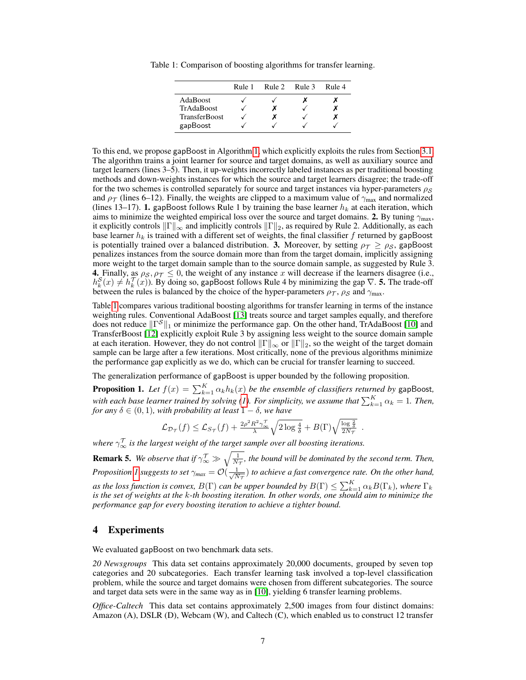Table 1: Comparison of boosting algorithms for transfer learning.

|                      | Rule 1 | Rule 2 | Rule 3 | Rule 4 |
|----------------------|--------|--------|--------|--------|
| AdaBoost             |        |        |        |        |
| TrAdaBoost           |        |        |        |        |
| <b>TransferBoost</b> |        |        |        |        |
| gapBoost             |        |        |        |        |

To this end, we propose gapBoost in Algorithm 1, which explicitly exploits the rules from Section 3.1. The algorithm trains a joint learner for source and target domains, as well as auxiliary source and target learners (lines 3–5). Then, it up-weights incorrectly labeled instances as per traditional boosting methods and down-weights instances for which the source and target learners disagree; the trade-off for the two schemes is controlled separately for source and target instances via hyper-parameters  $\rho_S$ and  $\rho_{\mathcal{T}}$  (lines 6–12). Finally, the weights are clipped to a maximum value of  $\gamma_{\text{max}}$  and normalized (lines 13–17). 1. gapBoost follows Rule 1 by training the base learner  $h_k$  at each iteration, which aims to minimize the weighted empirical loss over the source and target domains. 2. By tuning  $\gamma_{\text{max}}$ , it explicitly controls  $\|\Gamma\|_{\infty}$  and implicitly controls  $\|\Gamma\|_2$ , as required by Rule 2. Additionally, as each base learner  $h_k$  is trained with a different set of weights, the final classifier f returned by gapBoost is potentially trained over a balanced distribution. 3. Moreover, by setting  $\rho_T \ge \rho_S$ , gapBoost penalizes instances from the source domain more than from the target domain, implicitly assigning more weight to the target domain sample than to the source domain sample, as suggested by Rule 3. 4. Finally, as  $\rho_S$ ,  $\rho_T \leq 0$ , the weight of any instance x will decrease if the learners disagree (i.e.,  $h_k^S(x) \neq h_k^T(x)$ ). By doing so, gapBoost follows Rule 4 by minimizing the gap  $\nabla$ . **5.** The trade-off between the rules is balanced by the choice of the hyper-parameters  $\rho_T$ ,  $\rho_S$  and  $\gamma_{\text{max}}$ .

Table 1 compares various traditional boosting algorithms for transfer learning in terms of the instance weighting rules. Conventional AdaBoost [13] treats source and target samples equally, and therefore does not reduce  $\|\Gamma^{\mathcal{S}}\|_1$  or minimize the performance gap. On the other hand, TrAdaBoost [10] and TransferBoost [12] explicitly exploit Rule 3 by assigning less weight to the source domain sample at each iteration. However, they do not control  $||\Gamma||_{\infty}$  or  $||\Gamma||_2$ , so the weight of the target domain sample can be large after a few iterations. Most critically, none of the previous algorithms minimize the performance gap explicitly as we do, which can be crucial for transfer learning to succeed.

The generalization performance of gapBoost is upper bounded by the following proposition.

**Proposition 1.** Let  $f(x) = \sum_{k=1}^{K} \alpha_k h_k(x)$  be the ensemble of classifiers returned by gapBoost, with each base learner trained by solving (1). For simplicity, we assume that  $\sum_{k=1}^{K} \alpha_k = 1$ . Then, *for any*  $\delta \in (0, 1)$ *, with probability at least*  $1 - \delta$ *, we have* 

$$
\mathcal{L}_{\mathcal{D}_{\mathcal{T}}}(f) \leq \mathcal{L}_{S_{\mathcal{T}}}(f) + \frac{2\rho^2 R^2 \gamma_{\infty}^{\mathcal{T}}}{\lambda} \sqrt{2\log{\frac{4}{\delta}}} + B(\Gamma) \sqrt{\frac{\log{\frac{2}{\delta}}}{2N_{\mathcal{T}}}}.
$$

where  $\gamma_{\infty}^{\mathcal{T}}$  is the largest weight of the target sample over all boosting iterations.

**Remark 5.** We observe that if  $\gamma_{\infty}^{\mathcal{T}} \gg \sqrt{\frac{1}{N_{\mathcal{T}}}}$ , the bound will be dominated by the second term. Then, *Proposition 1 suggests to set*  $\gamma_{max} = \mathcal{O}(\frac{1}{\sqrt{N}})$  $\frac{1}{N_{\mathcal{T}}}$ ) to achieve a fast convergence rate. On the other hand, *as the loss function is convex,*  $B(\Gamma)$  *can be upper bounded by*  $B(\Gamma) \le \sum_{k=1}^{K} \alpha_k B(\Gamma_k)$ *, where*  $\Gamma_k$ *is the set of weights at the* k*-th boosting iteration. In other words, one should aim to minimize the performance gap for every boosting iteration to achieve a tighter bound.*

## 4 Experiments

We evaluated gapBoost on two benchmark data sets.

*20 Newsgroups* This data set contains approximately 20,000 documents, grouped by seven top categories and 20 subcategories. Each transfer learning task involved a top-level classification problem, while the source and target domains were chosen from different subcategories. The source and target data sets were in the same way as in [10], yielding 6 transfer learning problems.

*Office-Caltech* This data set contains approximately 2,500 images from four distinct domains: Amazon (A), DSLR (D), Webcam (W), and Caltech (C), which enabled us to construct 12 transfer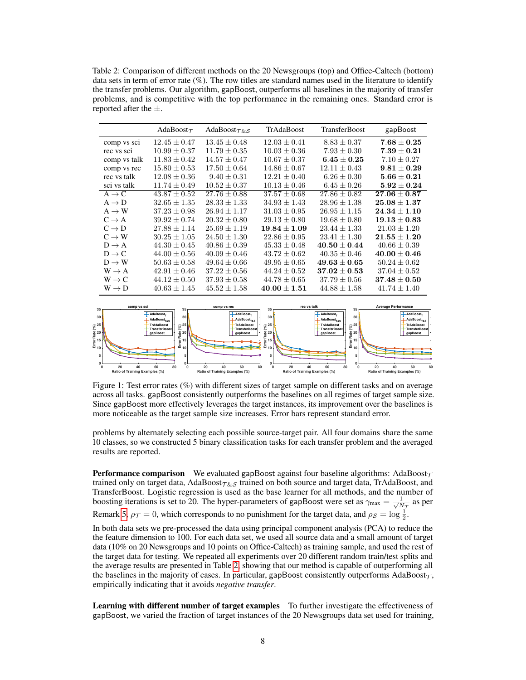Table 2: Comparison of different methods on the 20 Newsgroups (top) and Office-Caltech (bottom) data sets in term of error rate  $(\%)$ . The row titles are standard names used in the literature to identify the transfer problems. Our algorithm, gapBoost, outperforms all baselines in the majority of transfer problems, and is competitive with the top performance in the remaining ones. Standard error is reported after the  $\pm$ .

|                   | AdaBoost $\tau$  | AdaBoost $\tau$ &s | TrAdaBoost       | <b>TransferBoost</b> | gapBoost         |
|-------------------|------------------|--------------------|------------------|----------------------|------------------|
| comp vs sci       | $12.45 \pm 0.47$ | $13.45 \pm 0.48$   | $12.03 \pm 0.41$ | $8.83 \pm 0.37$      | $7.68 \pm 0.25$  |
| rec vs sci        | $10.99 \pm 0.37$ | $11.79 \pm 0.35$   | $10.03 \pm 0.36$ | $7.93 \pm 0.30$      | $7.39 \pm 0.21$  |
| comp vs talk      | $11.83 \pm 0.42$ | $14.57 \pm 0.47$   | $10.67 \pm 0.37$ | $6.45 \pm 0.25$      | $7.10 \pm 0.27$  |
| comp vs rec       | $15.80 \pm 0.53$ | $17.50 \pm 0.64$   | $14.86 \pm 0.67$ | $12.11 \pm 0.43$     | $9.81 \pm 0.29$  |
| rec vs talk       | $12.08 \pm 0.36$ | $9.40 \pm 0.31$    | $12.21 \pm 0.40$ | $6.26 \pm 0.30$      | $5.66 \pm 0.21$  |
| sci vs talk       | $11.74 \pm 0.49$ | $10.52 \pm 0.37$   | $10.13 \pm 0.46$ | $6.45 \pm 0.26$      | $5.92 \pm 0.24$  |
| $A \rightarrow C$ | $43.87 \pm 0.52$ | $27.76 \pm 0.88$   | $37.57 \pm 0.68$ | $27.86 \pm 0.82$     | $27.06 \pm 0.87$ |
| $A \rightarrow D$ | $32.65 \pm 1.35$ | $28.33 \pm 1.33$   | $34.93 \pm 1.43$ | $28.96 \pm 1.38$     | $25.08 \pm 1.37$ |
| $A \rightarrow W$ | $37.23 \pm 0.98$ | $26.94 \pm 1.17$   | $31.03 \pm 0.95$ | $26.95 \pm 1.15$     | $24.34 \pm 1.10$ |
| $C \rightarrow A$ | $39.92 \pm 0.74$ | $20.32 \pm 0.80$   | $29.13 \pm 0.80$ | $19.68 \pm 0.80$     | $19.13\pm0.83$   |
| $C \rightarrow D$ | $27.88 \pm 1.14$ | $25.69 \pm 1.19$   | $19.84 \pm 1.09$ | $23.44 \pm 1.33$     | $21.03 \pm 1.20$ |
| $C \rightarrow W$ | $30.25 \pm 1.05$ | $24.50 \pm 1.30$   | $22.86 \pm 0.95$ | $23.41 \pm 1.30$     | $21.55 \pm 1.20$ |
| $D \rightarrow A$ | $44.30 \pm 0.45$ | $40.86 \pm 0.39$   | $45.33 \pm 0.48$ | $40.50 \pm 0.44$     | $40.66 \pm 0.39$ |
| $D \rightarrow C$ | $44.00 \pm 0.56$ | $40.09 \pm 0.46$   | $43.72 \pm 0.62$ | $40.35 \pm 0.46$     | $40.00 \pm 0.46$ |
| $D \rightarrow W$ | $50.63 \pm 0.58$ | $49.64 \pm 0.66$   | $49.95 \pm 0.65$ | $49.63 \pm 0.65$     | $50.24 \pm 0.62$ |
| $W \rightarrow A$ | $42.91 \pm 0.46$ | $37.22 \pm 0.56$   | $44.24 \pm 0.52$ | $37.02\pm0.53$       | $37.04 \pm 0.52$ |
| $W \rightarrow C$ | $44.12 \pm 0.50$ | $37.93 \pm 0.58$   | $44.78 \pm 0.65$ | $37.79 \pm 0.56$     | $37.48\pm0.50$   |
| $W \rightarrow D$ | $40.63 \pm 1.45$ | $45.52 \pm 1.58$   | $40.00 \pm 1.51$ | $44.88 \pm 1.58$     | $41.74 \pm 1.40$ |



Figure 1: Test error rates (%) with different sizes of target sample on different tasks and on average across all tasks. gapBoost consistently outperforms the baselines on all regimes of target sample size. Since gapBoost more effectively leverages the target instances, its improvement over the baselines is more noticeable as the target sample size increases. Error bars represent standard error.

problems by alternately selecting each possible source-target pair. All four domains share the same 10 classes, so we constructed 5 binary classification tasks for each transfer problem and the averaged results are reported.

**Performance comparison** We evaluated gapBoost against four baseline algorithms: AdaBoost $\tau$ trained only on target data, AdaBoost $\tau_{\&S}$  trained on both source and target data, TrAdaBoost, and TransferBoost. Logistic regression is used as the base learner for all methods, and the number of boosting iterations is set to 20. The hyper-parameters of gapBoost were set as  $\gamma_{\text{max}} = \frac{1}{\sqrt{N}}$  $\frac{1}{N_{\mathcal{T}}}$  as per Remark 5,  $\rho_T = 0$ , which corresponds to no punishment for the target data, and  $\rho_S = \log \frac{1}{2}$ .

In both data sets we pre-processed the data using principal component analysis (PCA) to reduce the the feature dimension to 100. For each data set, we used all source data and a small amount of target data (10% on 20 Newsgroups and 10 points on Office-Caltech) as training sample, and used the rest of the target data for testing. We repeated all experiments over 20 different random train/test splits and the average results are presented in Table 2, showing that our method is capable of outperforming all the baselines in the majority of cases. In particular, gapBoost consistently outperforms  $AdaBoost_{\mathcal{T}}$ , empirically indicating that it avoids *negative transfer*.

Learning with different number of target examples To further investigate the effectiveness of gapBoost, we varied the fraction of target instances of the 20 Newsgroups data set used for training,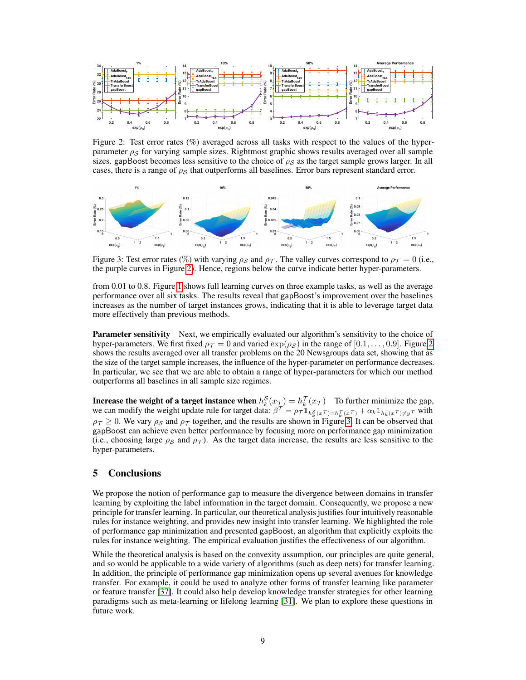

Figure 2: Test error rates (%) averaged across all tasks with respect to the values of the hyperparameter  $\rho_S$  for varying sample sizes. Rightmost graphic shows results averaged over all sample sizes. gapBoost becomes less sensitive to the choice of  $\rho_s$  as the target sample grows larger. In all cases, there is a range of  $\rho_S$  that outperforms all baselines. Error bars represent standard error.



Figure 3: Test error rates (%) with varying  $\rho_S$  and  $\rho_T$ . The valley curves correspond to  $\rho_T = 0$  (i.e., the purple curves in Figure 2). Hence, regions below the curve indicate better hyper-parameters.

from 0.01 to 0.8. Figure 1 shows full learning curves on three example tasks, as well as the average performance over all six tasks. The results reveal that gapBoost's improvement over the baselines increases as the number of target instances grows, indicating that it is able to leverage target data more effectively than previous methods.

**Parameter sensitivity** Next, we empirically evaluated our algorithm's sensitivity to the choice of hyper-parameters. We first fixed  $\rho_T = 0$  and varied  $\exp(\rho_S)$  in the range of  $[0.1, \ldots, 0.9]$ . Figure 2 shows the results averaged over all transfer problems on the 20 Newsgroups data set, showing that as the size of the target sample increases, the influence of the hyper-parameter on performance decreases. In particular, we see that we are able to obtain a range of hyper-parameters for which our method outperforms all baselines in all sample size regimes.

**Increase the weight of a target instance when**  $h_k^S(x_{\mathcal{I}}) = h_k^T(x_{\mathcal{T}})$  To further minimize the gap, we can modify the weight update rule for target data:  $\beta^{\mathcal{T}} = \rho_{\mathcal{T}} \mathbb{1}_{h_k^S(x^{\mathcal{T}}) = h_k^{\mathcal{T}}(x^{\mathcal{T}})} + \alpha_k \mathbb{1}_{h_k(x^{\mathcal{T}}) \neq y^{\mathcal{T}}}$  with  $\rho_T \geq 0$ . We vary  $\rho_S$  and  $\rho_T$  together, and the results are shown in Figure 3. It can be observed that gapBoost can achieve even better performance by focusing more on performance gap minimization (i.e., choosing large  $\rho_S$  and  $\rho_T$ ). As the target data increase, the results are less sensitive to the hyper-parameters.

# 5 Conclusions

We propose the notion of performance gap to measure the divergence between domains in transfer learning by exploiting the label information in the target domain. Consequently, we propose a new principle for transfer learning. In particular, our theoretical analysis justifies four intuitively reasonable rules for instance weighting, and provides new insight into transfer learning. We highlighted the role of performance gap minimization and presented gapBoost, an algorithm that explicitly exploits the rules for instance weighting. The empirical evaluation justifies the effectiveness of our algorithm.

While the theoretical analysis is based on the convexity assumption, our principles are quite general, and so would be applicable to a wide variety of algorithms (such as deep nets) for transfer learning. In addition, the principle of performance gap minimization opens up several avenues for knowledge transfer. For example, it could be used to analyze other forms of transfer learning like parameter or feature transfer [37]. It could also help develop knowledge transfer strategies for other learning paradigms such as meta-learning or lifelong learning [31]. We plan to explore these questions in future work.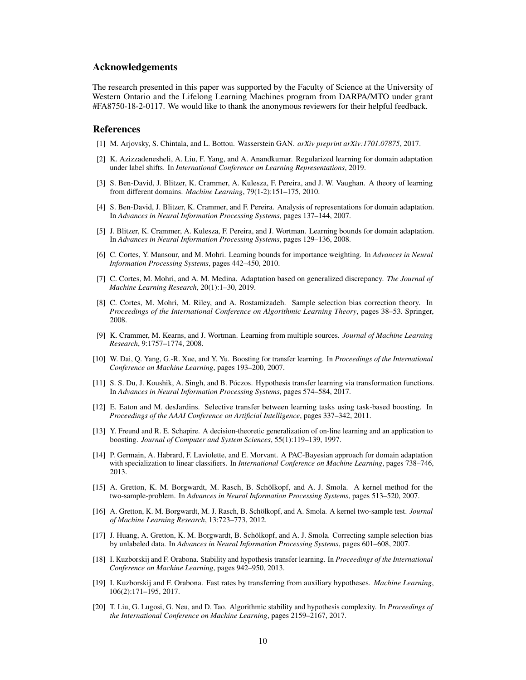### Acknowledgements

The research presented in this paper was supported by the Faculty of Science at the University of Western Ontario and the Lifelong Learning Machines program from DARPA/MTO under grant #FA8750-18-2-0117. We would like to thank the anonymous reviewers for their helpful feedback.

#### References

- [1] M. Arjovsky, S. Chintala, and L. Bottou. Wasserstein GAN. *arXiv preprint arXiv:1701.07875*, 2017.
- [2] K. Azizzadenesheli, A. Liu, F. Yang, and A. Anandkumar. Regularized learning for domain adaptation under label shifts. In *International Conference on Learning Representations*, 2019.
- [3] S. Ben-David, J. Blitzer, K. Crammer, A. Kulesza, F. Pereira, and J. W. Vaughan. A theory of learning from different domains. *Machine Learning*, 79(1-2):151–175, 2010.
- [4] S. Ben-David, J. Blitzer, K. Crammer, and F. Pereira. Analysis of representations for domain adaptation. In *Advances in Neural Information Processing Systems*, pages 137–144, 2007.
- [5] J. Blitzer, K. Crammer, A. Kulesza, F. Pereira, and J. Wortman. Learning bounds for domain adaptation. In *Advances in Neural Information Processing Systems*, pages 129–136, 2008.
- [6] C. Cortes, Y. Mansour, and M. Mohri. Learning bounds for importance weighting. In *Advances in Neural Information Processing Systems*, pages 442–450, 2010.
- [7] C. Cortes, M. Mohri, and A. M. Medina. Adaptation based on generalized discrepancy. *The Journal of Machine Learning Research*, 20(1):1–30, 2019.
- [8] C. Cortes, M. Mohri, M. Riley, and A. Rostamizadeh. Sample selection bias correction theory. In *Proceedings of the International Conference on Algorithmic Learning Theory*, pages 38–53. Springer, 2008.
- [9] K. Crammer, M. Kearns, and J. Wortman. Learning from multiple sources. *Journal of Machine Learning Research*, 9:1757–1774, 2008.
- [10] W. Dai, Q. Yang, G.-R. Xue, and Y. Yu. Boosting for transfer learning. In *Proceedings of the International Conference on Machine Learning*, pages 193–200, 2007.
- [11] S. S. Du, J. Koushik, A. Singh, and B. Póczos. Hypothesis transfer learning via transformation functions. In *Advances in Neural Information Processing Systems*, pages 574–584, 2017.
- [12] E. Eaton and M. desJardins. Selective transfer between learning tasks using task-based boosting. In *Proceedings of the AAAI Conference on Artificial Intelligence*, pages 337–342, 2011.
- [13] Y. Freund and R. E. Schapire. A decision-theoretic generalization of on-line learning and an application to boosting. *Journal of Computer and System Sciences*, 55(1):119–139, 1997.
- [14] P. Germain, A. Habrard, F. Laviolette, and E. Morvant. A PAC-Bayesian approach for domain adaptation with specialization to linear classifiers. In *International Conference on Machine Learning*, pages 738–746, 2013.
- [15] A. Gretton, K. M. Borgwardt, M. Rasch, B. Schölkopf, and A. J. Smola. A kernel method for the two-sample-problem. In *Advances in Neural Information Processing Systems*, pages 513–520, 2007.
- [16] A. Gretton, K. M. Borgwardt, M. J. Rasch, B. Schölkopf, and A. Smola. A kernel two-sample test. *Journal of Machine Learning Research*, 13:723–773, 2012.
- [17] J. Huang, A. Gretton, K. M. Borgwardt, B. Schölkopf, and A. J. Smola. Correcting sample selection bias by unlabeled data. In *Advances in Neural Information Processing Systems*, pages 601–608, 2007.
- [18] I. Kuzborskij and F. Orabona. Stability and hypothesis transfer learning. In *Proceedings of the International Conference on Machine Learning*, pages 942–950, 2013.
- [19] I. Kuzborskij and F. Orabona. Fast rates by transferring from auxiliary hypotheses. *Machine Learning*, 106(2):171–195, 2017.
- [20] T. Liu, G. Lugosi, G. Neu, and D. Tao. Algorithmic stability and hypothesis complexity. In *Proceedings of the International Conference on Machine Learning*, pages 2159–2167, 2017.